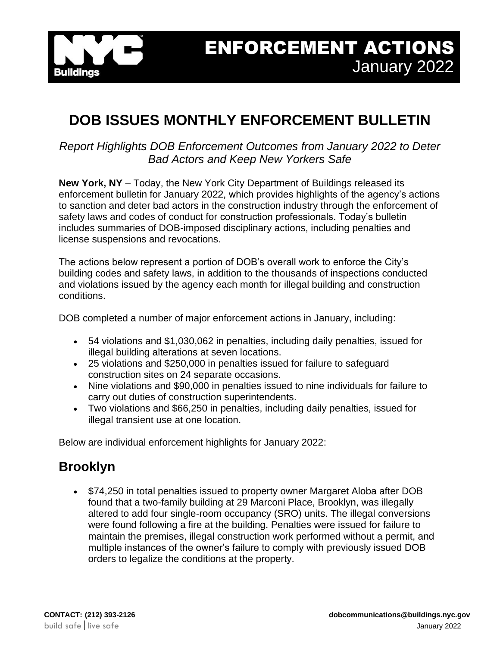

# **DOB ISSUES MONTHLY ENFORCEMENT BULLETIN**

#### *Report Highlights DOB Enforcement Outcomes from January 2022 to Deter Bad Actors and Keep New Yorkers Safe*

**New York, NY** – Today, the New York City Department of Buildings released its enforcement bulletin for January 2022, which provides highlights of the agency's actions to sanction and deter bad actors in the construction industry through the enforcement of safety laws and codes of conduct for construction professionals. Today's bulletin includes summaries of DOB-imposed disciplinary actions, including penalties and license suspensions and revocations.

The actions below represent a portion of DOB's overall work to enforce the City's building codes and safety laws, in addition to the thousands of inspections conducted and violations issued by the agency each month for illegal building and construction conditions.

DOB completed a number of major enforcement actions in January, including:

- 54 violations and \$1,030,062 in penalties, including daily penalties, issued for illegal building alterations at seven locations.
- 25 violations and \$250,000 in penalties issued for failure to safeguard construction sites on 24 separate occasions.
- Nine violations and \$90,000 in penalties issued to nine individuals for failure to carry out duties of construction superintendents.
- Two violations and \$66,250 in penalties, including daily penalties, issued for illegal transient use at one location.

Below are individual enforcement highlights for January 2022:

## **Brooklyn**

• \$74,250 in total penalties issued to property owner Margaret Aloba after DOB found that a two-family building at 29 Marconi Place, Brooklyn, was illegally altered to add four single-room occupancy (SRO) units. The illegal conversions were found following a fire at the building. Penalties were issued for failure to maintain the premises, illegal construction work performed without a permit, and multiple instances of the owner's failure to comply with previously issued DOB orders to legalize the conditions at the property.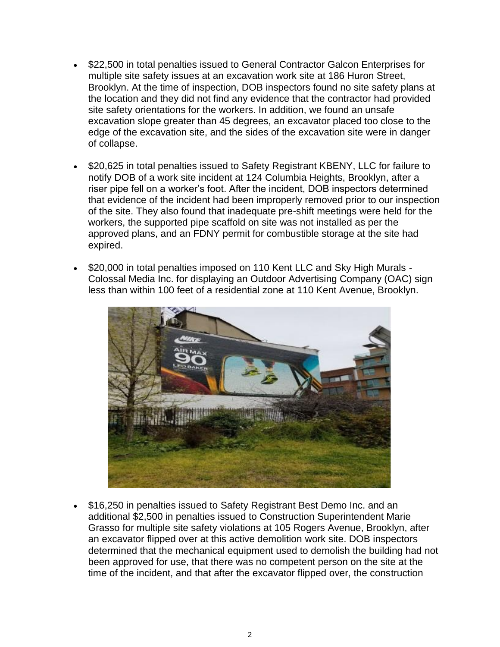- \$22,500 in total penalties issued to General Contractor Galcon Enterprises for multiple site safety issues at an excavation work site at 186 Huron Street, Brooklyn. At the time of inspection, DOB inspectors found no site safety plans at the location and they did not find any evidence that the contractor had provided site safety orientations for the workers. In addition, we found an unsafe excavation slope greater than 45 degrees, an excavator placed too close to the edge of the excavation site, and the sides of the excavation site were in danger of collapse.
- \$20,625 in total penalties issued to Safety Registrant KBENY, LLC for failure to notify DOB of a work site incident at 124 Columbia Heights, Brooklyn, after a riser pipe fell on a worker's foot. After the incident, DOB inspectors determined that evidence of the incident had been improperly removed prior to our inspection of the site. They also found that inadequate pre-shift meetings were held for the workers, the supported pipe scaffold on site was not installed as per the approved plans, and an FDNY permit for combustible storage at the site had expired.
- \$20,000 in total penalties imposed on 110 Kent LLC and Sky High Murals Colossal Media Inc. for displaying an Outdoor Advertising Company (OAC) sign less than within 100 feet of a residential zone at 110 Kent Avenue, Brooklyn.



• \$16,250 in penalties issued to Safety Registrant Best Demo Inc. and an additional \$2,500 in penalties issued to Construction Superintendent Marie Grasso for multiple site safety violations at 105 Rogers Avenue, Brooklyn, after an excavator flipped over at this active demolition work site. DOB inspectors determined that the mechanical equipment used to demolish the building had not been approved for use, that there was no competent person on the site at the time of the incident, and that after the excavator flipped over, the construction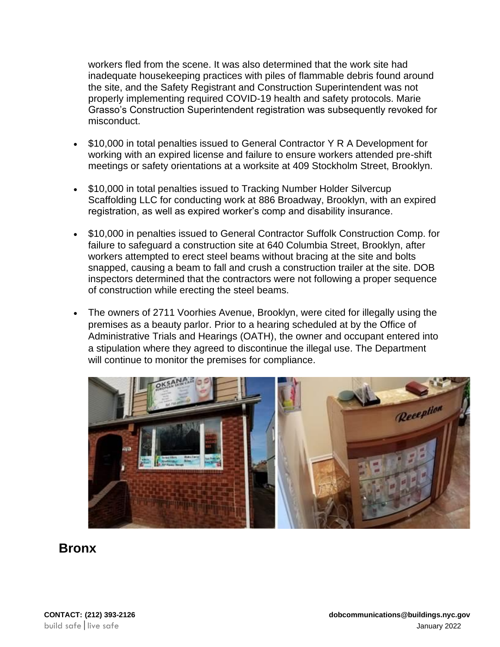workers fled from the scene. It was also determined that the work site had inadequate housekeeping practices with piles of flammable debris found around the site, and the Safety Registrant and Construction Superintendent was not properly implementing required COVID-19 health and safety protocols. Marie Grasso's Construction Superintendent registration was subsequently revoked for misconduct.

- \$10,000 in total penalties issued to General Contractor Y R A Development for working with an expired license and failure to ensure workers attended pre-shift meetings or safety orientations at a worksite at 409 Stockholm Street, Brooklyn.
- \$10,000 in total penalties issued to Tracking Number Holder Silvercup Scaffolding LLC for conducting work at 886 Broadway, Brooklyn, with an expired registration, as well as expired worker's comp and disability insurance.
- \$10,000 in penalties issued to General Contractor Suffolk Construction Comp. for failure to safeguard a construction site at 640 Columbia Street, Brooklyn, after workers attempted to erect steel beams without bracing at the site and bolts snapped, causing a beam to fall and crush a construction trailer at the site. DOB inspectors determined that the contractors were not following a proper sequence of construction while erecting the steel beams.
- The owners of 2711 Voorhies Avenue, Brooklyn, were cited for illegally using the premises as a beauty parlor. Prior to a hearing scheduled at by the Office of Administrative Trials and Hearings (OATH), the owner and occupant entered into a stipulation where they agreed to discontinue the illegal use. The Department will continue to monitor the premises for compliance.



### **Bronx**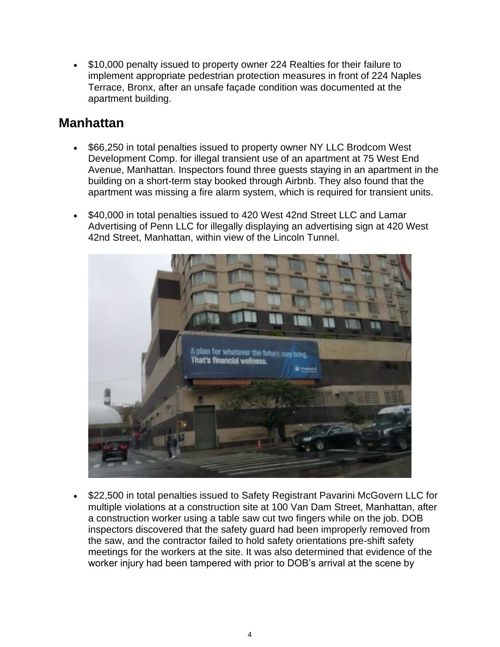• \$10,000 penalty issued to property owner 224 Realties for their failure to implement appropriate pedestrian protection measures in front of 224 Naples Terrace, Bronx, after an unsafe façade condition was documented at the apartment building.

#### **Manhattan**

- \$66,250 in total penalties issued to property owner NY LLC Brodcom West Development Comp. for illegal transient use of an apartment at 75 West End Avenue, Manhattan. Inspectors found three guests staying in an apartment in the building on a short-term stay booked through Airbnb. They also found that the apartment was missing a fire alarm system, which is required for transient units.
- \$40,000 in total penalties issued to 420 West 42nd Street LLC and Lamar Advertising of Penn LLC for illegally displaying an advertising sign at 420 West 42nd Street, Manhattan, within view of the Lincoln Tunnel.



• \$22,500 in total penalties issued to Safety Registrant Pavarini McGovern LLC for multiple violations at a construction site at 100 Van Dam Street, Manhattan, after a construction worker using a table saw cut two fingers while on the job. DOB inspectors discovered that the safety guard had been improperly removed from the saw, and the contractor failed to hold safety orientations pre-shift safety meetings for the workers at the site. It was also determined that evidence of the worker injury had been tampered with prior to DOB's arrival at the scene by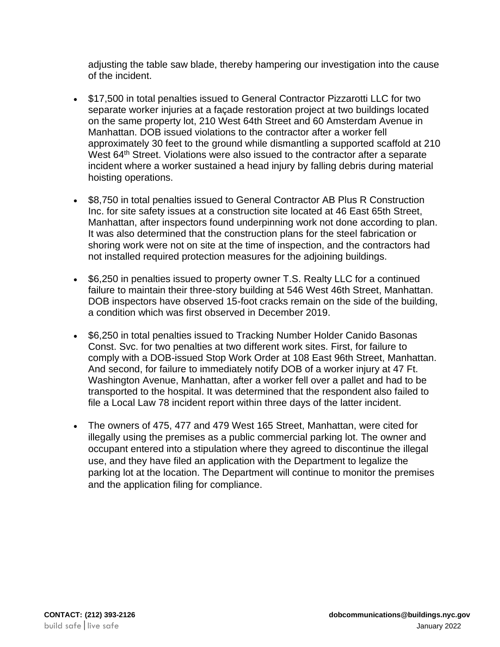adjusting the table saw blade, thereby hampering our investigation into the cause of the incident.

- \$17,500 in total penalties issued to General Contractor Pizzarotti LLC for two separate worker injuries at a façade restoration project at two buildings located on the same property lot, 210 West 64th Street and 60 Amsterdam Avenue in Manhattan. DOB issued violations to the contractor after a worker fell approximately 30 feet to the ground while dismantling a supported scaffold at 210 West 64<sup>th</sup> Street. Violations were also issued to the contractor after a separate incident where a worker sustained a head injury by falling debris during material hoisting operations.
- \$8,750 in total penalties issued to General Contractor AB Plus R Construction Inc. for site safety issues at a construction site located at 46 East 65th Street, Manhattan, after inspectors found underpinning work not done according to plan. It was also determined that the construction plans for the steel fabrication or shoring work were not on site at the time of inspection, and the contractors had not installed required protection measures for the adjoining buildings.
- \$6,250 in penalties issued to property owner T.S. Realty LLC for a continued failure to maintain their three-story building at 546 West 46th Street, Manhattan. DOB inspectors have observed 15-foot cracks remain on the side of the building, a condition which was first observed in December 2019.
- \$6,250 in total penalties issued to Tracking Number Holder Canido Basonas Const. Svc. for two penalties at two different work sites. First, for failure to comply with a DOB-issued Stop Work Order at 108 East 96th Street, Manhattan. And second, for failure to immediately notify DOB of a worker injury at 47 Ft. Washington Avenue, Manhattan, after a worker fell over a pallet and had to be transported to the hospital. It was determined that the respondent also failed to file a Local Law 78 incident report within three days of the latter incident.
- The owners of 475, 477 and 479 West 165 Street, Manhattan, were cited for illegally using the premises as a public commercial parking lot. The owner and occupant entered into a stipulation where they agreed to discontinue the illegal use, and they have filed an application with the Department to legalize the parking lot at the location. The Department will continue to monitor the premises and the application filing for compliance.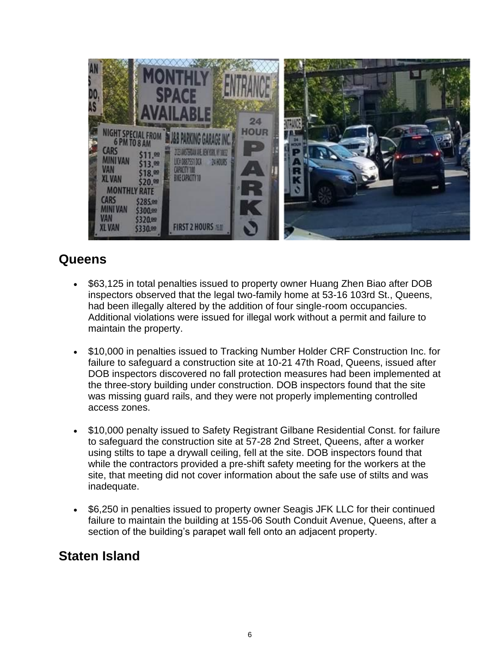

## **Queens**

- \$63,125 in total penalties issued to property owner Huang Zhen Biao after DOB inspectors observed that the legal two-family home at 53-16 103rd St., Queens, had been illegally altered by the addition of four single-room occupancies. Additional violations were issued for illegal work without a permit and failure to maintain the property.
- \$10,000 in penalties issued to Tracking Number Holder CRF Construction Inc. for failure to safeguard a construction site at 10-21 47th Road, Queens, issued after DOB inspectors discovered no fall protection measures had been implemented at the three-story building under construction. DOB inspectors found that the site was missing guard rails, and they were not properly implementing controlled access zones.
- \$10,000 penalty issued to Safety Registrant Gilbane Residential Const. for failure to safeguard the construction site at 57-28 2nd Street, Queens, after a worker using stilts to tape a drywall ceiling, fell at the site. DOB inspectors found that while the contractors provided a pre-shift safety meeting for the workers at the site, that meeting did not cover information about the safe use of stilts and was inadequate.
- \$6,250 in penalties issued to property owner Seagis JFK LLC for their continued failure to maintain the building at 155-06 South Conduit Avenue, Queens, after a section of the building's parapet wall fell onto an adjacent property.

## **Staten Island**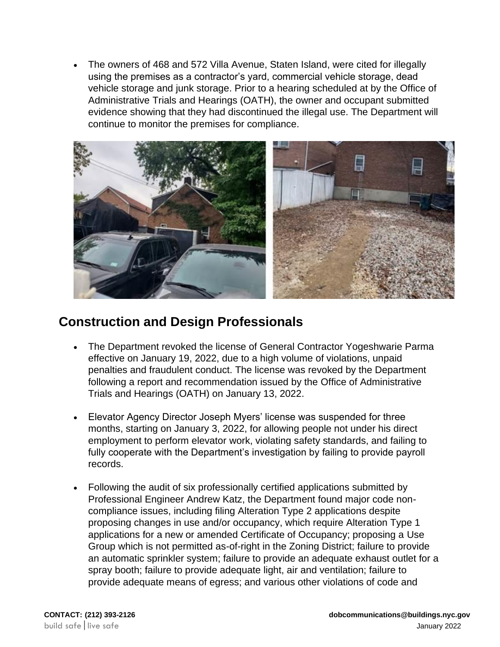• The owners of 468 and 572 Villa Avenue, Staten Island, were cited for illegally using the premises as a contractor's yard, commercial vehicle storage, dead vehicle storage and junk storage. Prior to a hearing scheduled at by the Office of Administrative Trials and Hearings (OATH), the owner and occupant submitted evidence showing that they had discontinued the illegal use. The Department will continue to monitor the premises for compliance.



## **Construction and Design Professionals**

- The Department revoked the license of General Contractor Yogeshwarie Parma effective on January 19, 2022, due to a high volume of violations, unpaid penalties and fraudulent conduct. The license was revoked by the Department following a report and recommendation issued by the Office of Administrative Trials and Hearings (OATH) on January 13, 2022.
- Elevator Agency Director Joseph Myers' license was suspended for three months, starting on January 3, 2022, for allowing people not under his direct employment to perform elevator work, violating safety standards, and failing to fully cooperate with the Department's investigation by failing to provide payroll records.
- Following the audit of six professionally certified applications submitted by Professional Engineer Andrew Katz, the Department found major code noncompliance issues, including filing Alteration Type 2 applications despite proposing changes in use and/or occupancy, which require Alteration Type 1 applications for a new or amended Certificate of Occupancy; proposing a Use Group which is not permitted as-of-right in the Zoning District; failure to provide an automatic sprinkler system; failure to provide an adequate exhaust outlet for a spray booth; failure to provide adequate light, air and ventilation; failure to provide adequate means of egress; and various other violations of code and